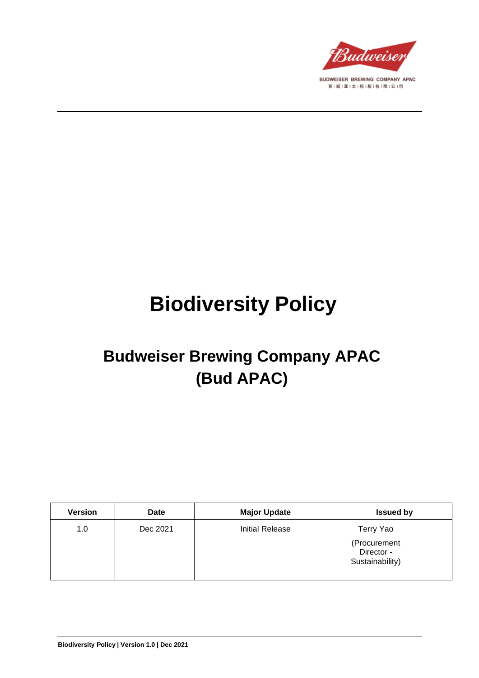

# **Biodiversity Policy**

# **Budweiser Brewing Company APAC (Bud APAC)**

| <b>Version</b> | <b>Date</b> | <b>Major Update</b> | <b>Issued by</b>                              |
|----------------|-------------|---------------------|-----------------------------------------------|
| 1.0            | Dec 2021    | Initial Release     | Terry Yao                                     |
|                |             |                     | (Procurement<br>Director -<br>Sustainability) |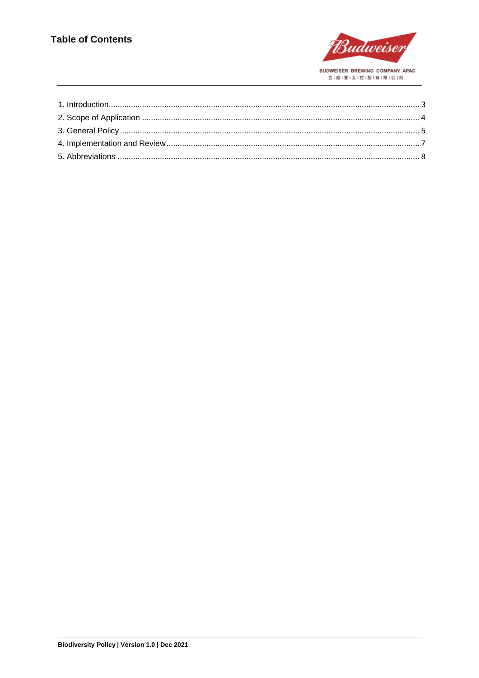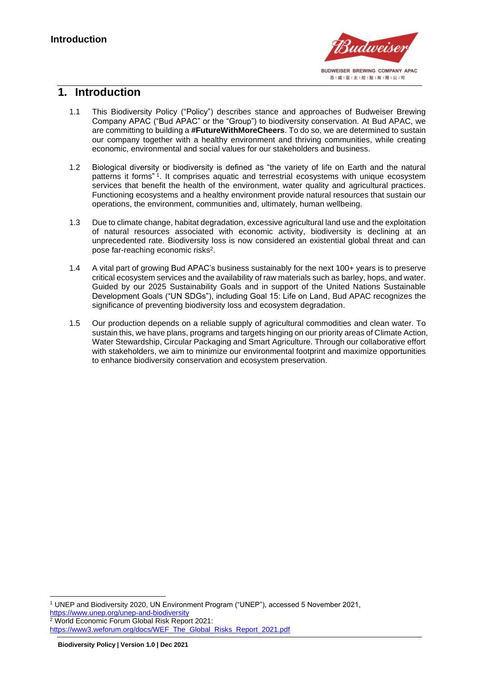

#### <span id="page-2-0"></span>**1. Introduction**

- 1.1 This Biodiversity Policy ("Policy") describes stance and approaches of Budweiser Brewing Company APAC ("Bud APAC" or the "Group") to biodiversity conservation. At Bud APAC, we are committing to building a **#FutureWithMoreCheers**. To do so, we are determined to sustain our company together with a healthy environment and thriving communities, while creating economic, environmental and social values for our stakeholders and business.
- 1.2 Biological diversity or biodiversity is defined as "the variety of life on Earth and the natural patterns it forms" 1 . It comprises aquatic and terrestrial ecosystems with unique ecosystem services that benefit the health of the environment, water quality and agricultural practices. Functioning ecosystems and a healthy environment provide natural resources that sustain our operations, the environment, communities and, ultimately, human wellbeing.
- 1.3 Due to climate change, habitat degradation, excessive agricultural land use and the exploitation of natural resources associated with economic activity, biodiversity is declining at an unprecedented rate. Biodiversity loss is now considered an existential global threat and can pose far-reaching economic risks<sup>2</sup>.
- 1.4 A vital part of growing Bud APAC's business sustainably for the next 100+ years is to preserve critical ecosystem services and the availability of raw materials such as barley, hops, and water. Guided by our 2025 Sustainability Goals and in support of the United Nations Sustainable Development Goals ("UN SDGs"), including Goal 15: Life on Land, Bud APAC recognizes the significance of preventing biodiversity loss and ecosystem degradation.
- 1.5 Our production depends on a reliable supply of agricultural commodities and clean water. To sustain this, we have plans, programs and targets hinging on our priority areas of Climate Action, Water Stewardship, Circular Packaging and Smart Agriculture. Through our collaborative effort with stakeholders, we aim to minimize our environmental footprint and maximize opportunities to enhance biodiversity conservation and ecosystem preservation.

<sup>2</sup> World Economic Forum Global Risk Report 2021:

<sup>1</sup> UNEP and Biodiversity 2020, UN Environment Program ("UNEP"), accessed 5 November 2021, <https://www.unep.org/unep-and-biodiversity>

[https://www3.weforum.org/docs/WEF\\_The\\_Global\\_Risks\\_Report\\_2021.pdf](https://www3.weforum.org/docs/WEF_The_Global_Risks_Report_2021.pdf)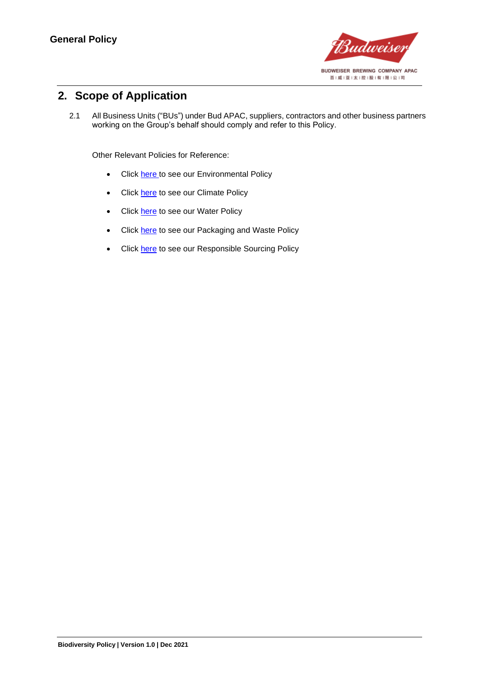

# <span id="page-3-0"></span>**2. Scope of Application**

2.1 All Business Units ("BUs") under Bud APAC, suppliers, contractors and other business partners working on the Group's behalf should comply and refer to this Policy.

Other Relevant Policies for Reference:

- Click [here t](https://budweiserapac.com/ace_files/files/policy2021/BudAPAC_Environmental%20Policy.pdf)o see our Environmental Policy
- Click [here](https://budweiserapac.com/ace_files/files/policy2021/BudAPAC_Climate%20Policy.pdf) to see our Climate Policy
- Click **here** to see our Water Policy
- Click [here](https://budweiserapac.com/ace_files/files/policy2021/BudAPAC_Packaging%20and%20Waste%20Policy.pdf) to see our Packaging and Waste Policy
- Click [here](https://budweiserapac.com/ace_files/files/policy2021/BudAPAC_Responsible%20Sourcing.pdf) to see our Responsible Sourcing Policy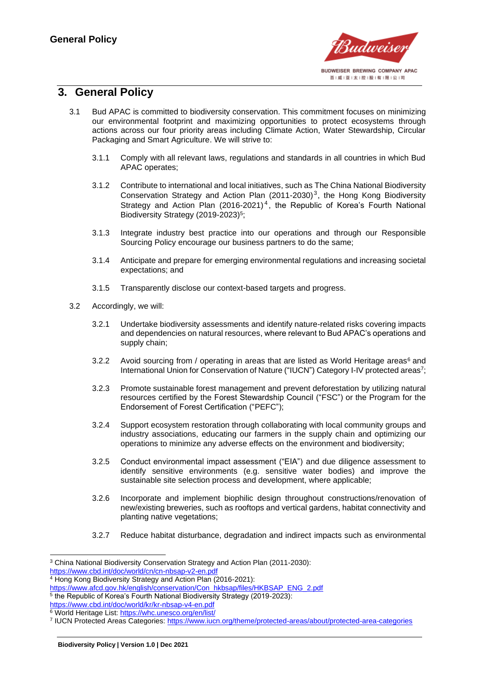

### <span id="page-4-0"></span>**3. General Policy**

- 3.1 Bud APAC is committed to biodiversity conservation. This commitment focuses on minimizing our environmental footprint and maximizing opportunities to protect ecosystems through actions across our four priority areas including Climate Action, Water Stewardship, Circular Packaging and Smart Agriculture. We will strive to:
	- 3.1.1 Comply with all relevant laws, regulations and standards in all countries in which Bud APAC operates;
	- 3.1.2 Contribute to international and local initiatives, such as The China National Biodiversity Conservation Strategy and Action Plan  $(2011-2030)^3$ , the Hong Kong Biodiversity Strategy and Action Plan  $(2016-2021)^4$ , the Republic of Korea's Fourth National Biodiversity Strategy (2019-2023)<sup>5</sup>;
	- 3.1.3 Integrate industry best practice into our operations and through our Responsible Sourcing Policy encourage our business partners to do the same;
	- 3.1.4 Anticipate and prepare for emerging environmental regulations and increasing societal expectations; and
	- 3.1.5 Transparently disclose our context-based targets and progress.
- 3.2 Accordingly, we will:
	- 3.2.1 Undertake biodiversity assessments and identify nature-related risks covering impacts and dependencies on natural resources, where relevant to Bud APAC's operations and supply chain;
	- 3.2.2 Avoid sourcing from / operating in areas that are listed as World Heritage areas<sup>6</sup> and International Union for Conservation of Nature ("IUCN") Category I-IV protected areas<sup>7</sup>;
	- 3.2.3 Promote sustainable forest management and prevent deforestation by utilizing natural resources certified by the Forest Stewardship Council ("FSC") or the Program for the Endorsement of Forest Certification ("PEFC");
	- 3.2.4 Support ecosystem restoration through collaborating with local community groups and industry associations, educating our farmers in the supply chain and optimizing our operations to minimize any adverse effects on the environment and biodiversity;
	- 3.2.5 Conduct environmental impact assessment ("EIA") and due diligence assessment to identify sensitive environments (e.g. sensitive water bodies) and improve the sustainable site selection process and development, where applicable;
	- 3.2.6 Incorporate and implement biophilic design throughout constructions/renovation of new/existing breweries, such as rooftops and vertical gardens, habitat connectivity and planting native vegetations;
	- 3.2.7 Reduce habitat disturbance, degradation and indirect impacts such as environmental

<sup>3</sup> China National Biodiversity Conservation Strategy and Action Plan (2011-2030):

<https://www.cbd.int/doc/world/cn/cn-nbsap-v2-en.pdf>

<sup>&</sup>lt;sup>4</sup> Hong Kong Biodiversity Strategy and Action Plan (2016-2021):

[https://www.afcd.gov.hk/english/conservation/Con\\_hkbsap/files/HKBSAP\\_ENG\\_2.pdf](https://www.afcd.gov.hk/english/conservation/Con_hkbsap/files/HKBSAP_ENG_2.pdf)

<sup>&</sup>lt;sup>5</sup> the Republic of Korea's Fourth National Biodiversity Strategy (2019-2023): <https://www.cbd.int/doc/world/kr/kr-nbsap-v4-en.pdf>

<sup>&</sup>lt;sup>6</sup> World Heritage List:<https://whc.unesco.org/en/list/>

<sup>&</sup>lt;sup>7</sup> IUCN Protected Areas Categories:<https://www.iucn.org/theme/protected-areas/about/protected-area-categories>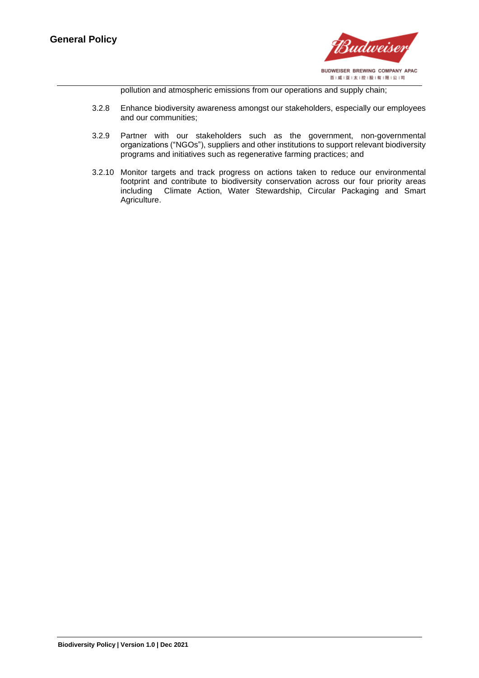

pollution and atmospheric emissions from our operations and supply chain;

- 3.2.8 Enhance biodiversity awareness amongst our stakeholders, especially our employees and our communities;
- 3.2.9 Partner with our stakeholders such as the government, non-governmental organizations ("NGOs"), suppliers and other institutions to support relevant biodiversity programs and initiatives such as regenerative farming practices; and
- 3.2.10 Monitor targets and track progress on actions taken to reduce our environmental footprint and contribute to biodiversity conservation across our four priority areas including Climate Action, Water Stewardship, Circular Packaging and Smart Agriculture.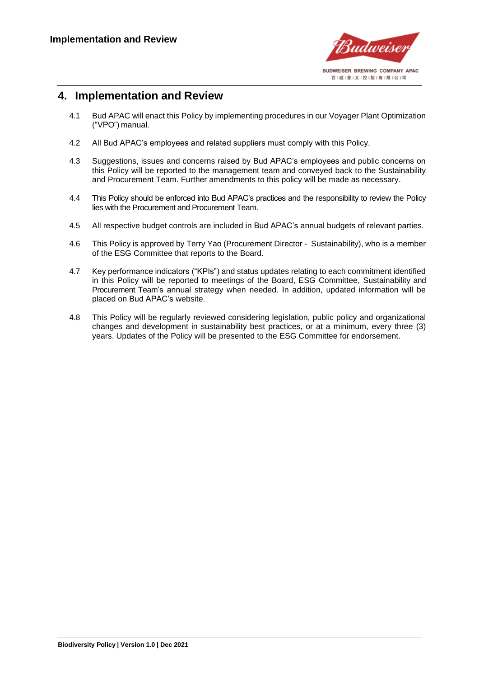

#### <span id="page-6-0"></span>**4. Implementation and Review**

- 4.1 Bud APAC will enact this Policy by implementing procedures in our Voyager Plant Optimization ("VPO") manual.
- 4.2 All Bud APAC's employees and related suppliers must comply with this Policy.
- 4.3 Suggestions, issues and concerns raised by Bud APAC's employees and public concerns on this Policy will be reported to the management team and conveyed back to the Sustainability and Procurement Team. Further amendments to this policy will be made as necessary.
- 4.4 This Policy should be enforced into Bud APAC's practices and the responsibility to review the Policy lies with the Procurement and Procurement Team.
- 4.5 All respective budget controls are included in Bud APAC's annual budgets of relevant parties.
- 4.6 This Policy is approved by Terry Yao (Procurement Director Sustainability), who is a member of the ESG Committee that reports to the Board.
- 4.7 Key performance indicators ("KPIs") and status updates relating to each commitment identified in this Policy will be reported to meetings of the Board, ESG Committee, Sustainability and Procurement Team's annual strategy when needed. In addition, updated information will be placed on Bud APAC's website.
- 4.8 This Policy will be regularly reviewed considering legislation, public policy and organizational changes and development in sustainability best practices, or at a minimum, every three (3) years. Updates of the Policy will be presented to the ESG Committee for endorsement.